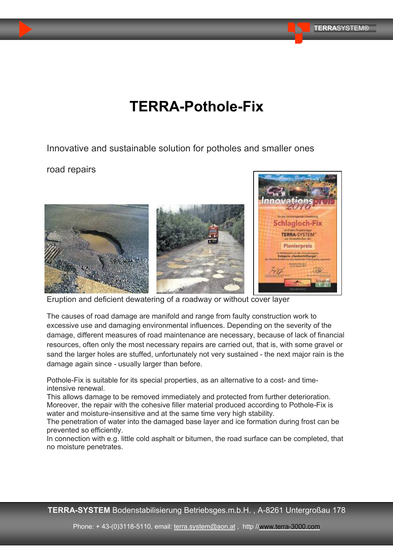# **TERRA-Pothole-Fix**

Innovative and sustainable solution for potholes and smaller ones

road repairs



Eruption and deficient dewatering of a roadway or without cover layer

The causes of road damage are manifold and range from faulty construction work to excessive use and damaging environmental influences. Depending on the severity of the damage, different measures of road maintenance are necessary, because of lack of financial resources, often only the most necessary repairs are carried out, that is, with some gravel or sand the larger holes are stuffed, unfortunately not very sustained - the next major rain is the damage again since - usually larger than before.

Pothole-Fix is suitable for its special properties, as an alternative to a cost- and timeintensive renewal.

This allows damage to be removed immediately and protected from further deterioration. Moreover, the repair with the cohesive filler material produced according to Pothole-Fix is water and moisture-insensitive and at the same time very high stability.

The penetration of water into the damaged base layer and ice formation during frost can be prevented so efficiently.

In connection with e.g. little cold asphalt or bitumen, the road surface can be completed, that no moisture penetrates.

**TERRA-SYSTEM** Bodenstabilisierung Betriebsges.m.b.H. , A-8261 Untergroßau 178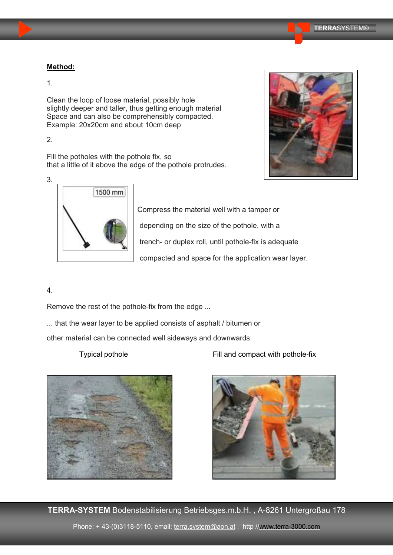### **Method:**

1.

Clean the loop of loose material, possibly hole slightly deeper and taller, thus getting enough material Space and can also be comprehensibly compacted. Example: 20x20cm and about 10cm deep

2.

Fill the potholes with the pothole fix, so that a little of it above the edge of the pothole protrudes.





Compress the material well with a tamper or depending on the size of the pothole, with a trench- or duplex roll, until pothole-fix is adequate compacted and space for the application wear layer.

# 4.

Remove the rest of the pothole-fix from the edge ...

... that the wear layer to be applied consists of asphalt / bitumen or

other material can be connected well sideways and downwards.

Typical pothole **Fill and compact with pothole-fix** 





**TERRA-SYSTEM** Bodenstabilisierung Betriebsges.m.b.H. , A-8261 Untergroßau 178 Phone: +43-(0)3118-5110, email: terra.system@aon.at, http //<www.terra-3000.com>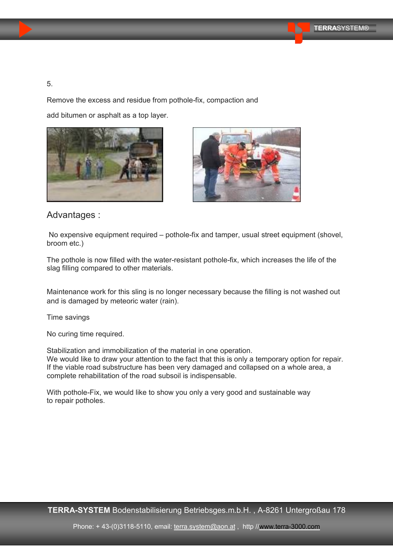#### 5.

Remove the excess and residue from pothole-fix, compaction and

add bitumen or asphalt as a top layer.





Advantages :

No expensive equipment required – pothole-fix and tamper, usual street equipment (shovel, broom etc.)

The pothole is now filled with the water-resistant pothole-fix, which increases the life of the slag filling compared to other materials.

Maintenance work for this sling is no longer necessary because the filling is not washed out and is damaged by meteoric water (rain).

Time savings

No curing time required.

Stabilization and immobilization of the material in one operation.

We would like to draw your attention to the fact that this is only a temporary option for repair. If the viable road substructure has been very damaged and collapsed on a whole area, a complete rehabilitation of the road subsoil is indispensable.

With pothole-Fix, we would like to show you only a very good and sustainable way to repair potholes.

**TERRA-SYSTEM** Bodenstabilisierung Betriebsges.m.b.H. , A-8261 Untergroßau 178

Phone: + 43-(0)3118-5110, email: terra.system@aon.at, http //<www.terra-3000.com>